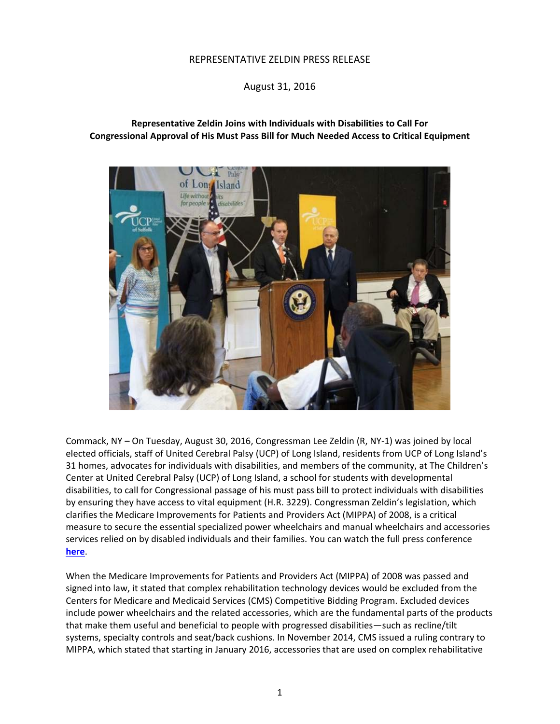## REPRESENTATIVE ZELDIN PRESS RELEASE

## August 31, 2016

## **Representative Zeldin Joins with Individuals with Disabilities to Call For Congressional Approval of His Must Pass Bill for Much Needed Access to Critical Equipment**



Commack, NY – On Tuesday, August 30, 2016, Congressman Lee Zeldin (R, NY‐1) was joined by local elected officials, staff of United Cerebral Palsy (UCP) of Long Island, residents from UCP of Long Island's 31 homes, advocates for individuals with disabilities, and members of the community, at The Children's Center at United Cerebral Palsy (UCP) of Long Island, a school for students with developmental disabilities, to call for Congressional passage of his must pass bill to protect individuals with disabilities by ensuring they have access to vital equipment (H.R. 3229). Congressman Zeldin's legislation, which clarifies the Medicare Improvements for Patients and Providers Act (MIPPA) of 2008, is a critical measure to secure the essential specialized power wheelchairs and manual wheelchairs and accessories services relied on by disabled individuals and their families. You can watch the full press conference **here**.

When the Medicare Improvements for Patients and Providers Act (MIPPA) of 2008 was passed and signed into law, it stated that complex rehabilitation technology devices would be excluded from the Centers for Medicare and Medicaid Services (CMS) Competitive Bidding Program. Excluded devices include power wheelchairs and the related accessories, which are the fundamental parts of the products that make them useful and beneficial to people with progressed disabilities—such as recline/tilt systems, specialty controls and seat/back cushions. In November 2014, CMS issued a ruling contrary to MIPPA, which stated that starting in January 2016, accessories that are used on complex rehabilitative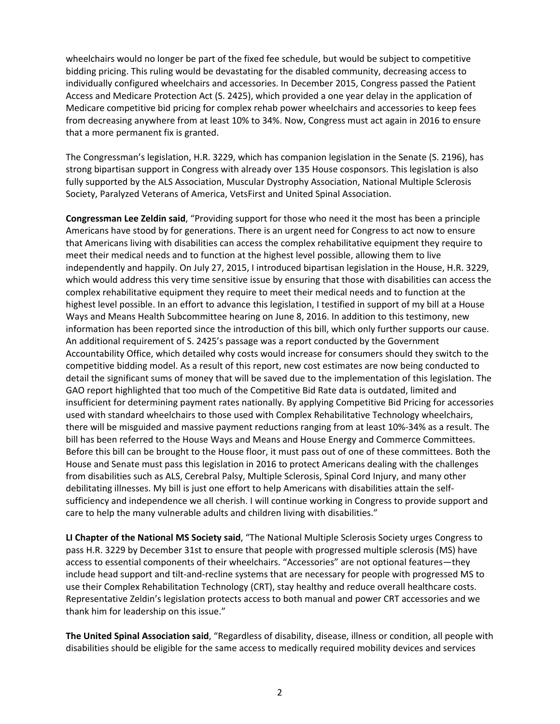wheelchairs would no longer be part of the fixed fee schedule, but would be subject to competitive bidding pricing. This ruling would be devastating for the disabled community, decreasing access to individually configured wheelchairs and accessories. In December 2015, Congress passed the Patient Access and Medicare Protection Act (S. 2425), which provided a one year delay in the application of Medicare competitive bid pricing for complex rehab power wheelchairs and accessories to keep fees from decreasing anywhere from at least 10% to 34%. Now, Congress must act again in 2016 to ensure that a more permanent fix is granted.

The Congressman's legislation, H.R. 3229, which has companion legislation in the Senate (S. 2196), has strong bipartisan support in Congress with already over 135 House cosponsors. This legislation is also fully supported by the ALS Association, Muscular Dystrophy Association, National Multiple Sclerosis Society, Paralyzed Veterans of America, VetsFirst and United Spinal Association.

**Congressman Lee Zeldin said**, "Providing support for those who need it the most has been a principle Americans have stood by for generations. There is an urgent need for Congress to act now to ensure that Americans living with disabilities can access the complex rehabilitative equipment they require to meet their medical needs and to function at the highest level possible, allowing them to live independently and happily. On July 27, 2015, I introduced bipartisan legislation in the House, H.R. 3229, which would address this very time sensitive issue by ensuring that those with disabilities can access the complex rehabilitative equipment they require to meet their medical needs and to function at the highest level possible. In an effort to advance this legislation, I testified in support of my bill at a House Ways and Means Health Subcommittee hearing on June 8, 2016. In addition to this testimony, new information has been reported since the introduction of this bill, which only further supports our cause. An additional requirement of S. 2425's passage was a report conducted by the Government Accountability Office, which detailed why costs would increase for consumers should they switch to the competitive bidding model. As a result of this report, new cost estimates are now being conducted to detail the significant sums of money that will be saved due to the implementation of this legislation. The GAO report highlighted that too much of the Competitive Bid Rate data is outdated, limited and insufficient for determining payment rates nationally. By applying Competitive Bid Pricing for accessories used with standard wheelchairs to those used with Complex Rehabilitative Technology wheelchairs, there will be misguided and massive payment reductions ranging from at least 10%‐34% as a result. The bill has been referred to the House Ways and Means and House Energy and Commerce Committees. Before this bill can be brought to the House floor, it must pass out of one of these committees. Both the House and Senate must pass this legislation in 2016 to protect Americans dealing with the challenges from disabilities such as ALS, Cerebral Palsy, Multiple Sclerosis, Spinal Cord Injury, and many other debilitating illnesses. My bill is just one effort to help Americans with disabilities attain the self‐ sufficiency and independence we all cherish. I will continue working in Congress to provide support and care to help the many vulnerable adults and children living with disabilities."

**LI Chapter of the National MS Society said**, "The National Multiple Sclerosis Society urges Congress to pass H.R. 3229 by December 31st to ensure that people with progressed multiple sclerosis (MS) have access to essential components of their wheelchairs. "Accessories" are not optional features—they include head support and tilt‐and‐recline systems that are necessary for people with progressed MS to use their Complex Rehabilitation Technology (CRT), stay healthy and reduce overall healthcare costs. Representative Zeldin's legislation protects access to both manual and power CRT accessories and we thank him for leadership on this issue."

**The United Spinal Association said**, "Regardless of disability, disease, illness or condition, all people with disabilities should be eligible for the same access to medically required mobility devices and services